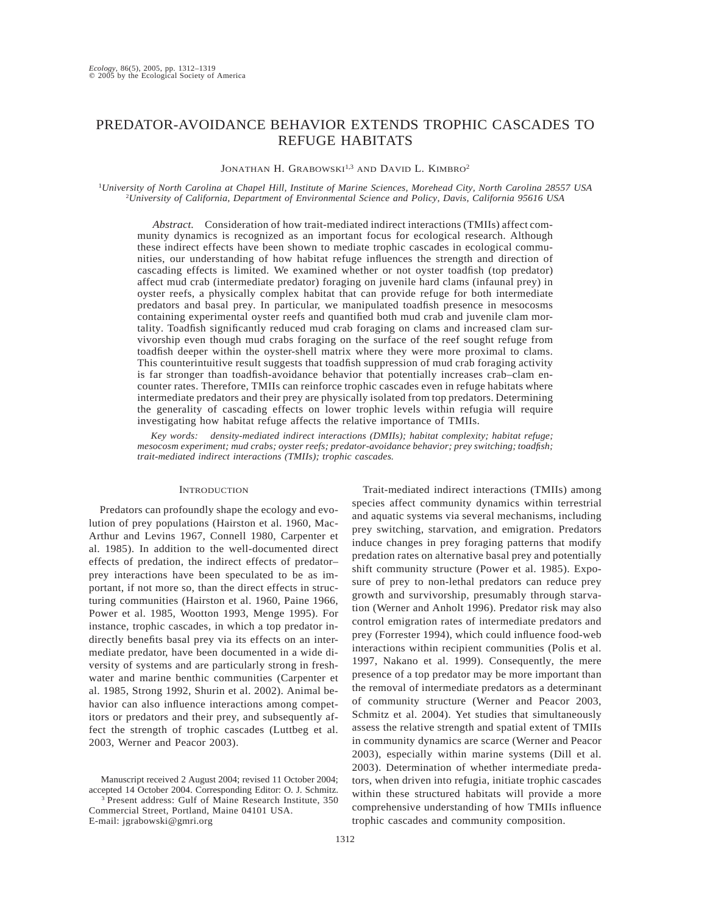# PREDATOR-AVOIDANCE BEHAVIOR EXTENDS TROPHIC CASCADES TO REFUGE HABITATS

# JONATHAN H. GRABOWSKI<sup>1,3</sup> AND DAVID L. KIMBRO<sup>2</sup>

## 1 *University of North Carolina at Chapel Hill, Institute of Marine Sciences, Morehead City, North Carolina 28557 USA* <sup>2</sup>*University of California, Department of Environmental Science and Policy, Davis, California 95616 USA*

*Abstract.* Consideration of how trait-mediated indirect interactions (TMIIs) affect community dynamics is recognized as an important focus for ecological research. Although these indirect effects have been shown to mediate trophic cascades in ecological communities, our understanding of how habitat refuge influences the strength and direction of cascading effects is limited. We examined whether or not oyster toadfish (top predator) affect mud crab (intermediate predator) foraging on juvenile hard clams (infaunal prey) in oyster reefs, a physically complex habitat that can provide refuge for both intermediate predators and basal prey. In particular, we manipulated toadfish presence in mesocosms containing experimental oyster reefs and quantified both mud crab and juvenile clam mortality. Toadfish significantly reduced mud crab foraging on clams and increased clam survivorship even though mud crabs foraging on the surface of the reef sought refuge from toadfish deeper within the oyster-shell matrix where they were more proximal to clams. This counterintuitive result suggests that toadfish suppression of mud crab foraging activity is far stronger than toadfish-avoidance behavior that potentially increases crab–clam encounter rates. Therefore, TMIIs can reinforce trophic cascades even in refuge habitats where intermediate predators and their prey are physically isolated from top predators. Determining the generality of cascading effects on lower trophic levels within refugia will require investigating how habitat refuge affects the relative importance of TMIIs.

*Key words: density-mediated indirect interactions (DMIIs); habitat complexity; habitat refuge; mesocosm experiment; mud crabs; oyster reefs; predator-avoidance behavior; prey switching; toadfish; trait-mediated indirect interactions (TMIIs); trophic cascades.*

#### **INTRODUCTION**

Predators can profoundly shape the ecology and evolution of prey populations (Hairston et al. 1960, Mac-Arthur and Levins 1967, Connell 1980, Carpenter et al. 1985). In addition to the well-documented direct effects of predation, the indirect effects of predator– prey interactions have been speculated to be as important, if not more so, than the direct effects in structuring communities (Hairston et al. 1960, Paine 1966, Power et al. 1985, Wootton 1993, Menge 1995). For instance, trophic cascades, in which a top predator indirectly benefits basal prey via its effects on an intermediate predator, have been documented in a wide diversity of systems and are particularly strong in freshwater and marine benthic communities (Carpenter et al. 1985, Strong 1992, Shurin et al. 2002). Animal behavior can also influence interactions among competitors or predators and their prey, and subsequently affect the strength of trophic cascades (Luttbeg et al. 2003, Werner and Peacor 2003).

Manuscript received 2 August 2004; revised 11 October 2004; accepted 14 October 2004. Corresponding Editor: O. J. Schmitz. <sup>3</sup> Present address: Gulf of Maine Research Institute, 350

Commercial Street, Portland, Maine 04101 USA. E-mail: jgrabowski@gmri.org

Trait-mediated indirect interactions (TMIIs) among species affect community dynamics within terrestrial and aquatic systems via several mechanisms, including prey switching, starvation, and emigration. Predators induce changes in prey foraging patterns that modify predation rates on alternative basal prey and potentially shift community structure (Power et al. 1985). Exposure of prey to non-lethal predators can reduce prey growth and survivorship, presumably through starvation (Werner and Anholt 1996). Predator risk may also control emigration rates of intermediate predators and prey (Forrester 1994), which could influence food-web interactions within recipient communities (Polis et al. 1997, Nakano et al. 1999). Consequently, the mere presence of a top predator may be more important than the removal of intermediate predators as a determinant of community structure (Werner and Peacor 2003, Schmitz et al. 2004). Yet studies that simultaneously assess the relative strength and spatial extent of TMIIs in community dynamics are scarce (Werner and Peacor 2003), especially within marine systems (Dill et al. 2003). Determination of whether intermediate predators, when driven into refugia, initiate trophic cascades within these structured habitats will provide a more comprehensive understanding of how TMIIs influence trophic cascades and community composition.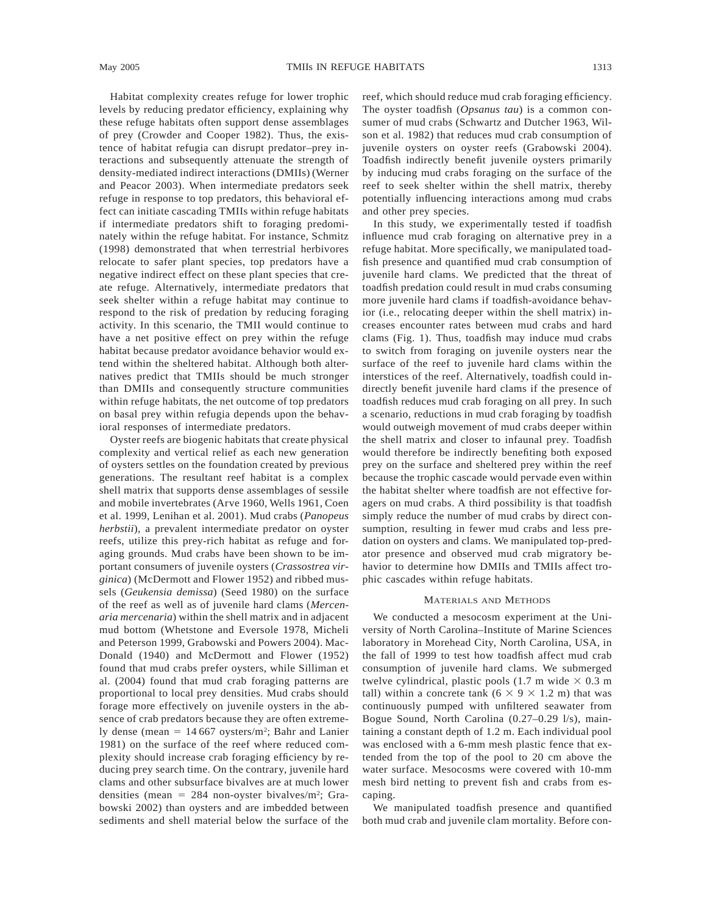Habitat complexity creates refuge for lower trophic levels by reducing predator efficiency, explaining why these refuge habitats often support dense assemblages of prey (Crowder and Cooper 1982). Thus, the existence of habitat refugia can disrupt predator–prey interactions and subsequently attenuate the strength of density-mediated indirect interactions (DMIIs) (Werner and Peacor 2003). When intermediate predators seek refuge in response to top predators, this behavioral effect can initiate cascading TMIIs within refuge habitats if intermediate predators shift to foraging predominately within the refuge habitat. For instance, Schmitz (1998) demonstrated that when terrestrial herbivores relocate to safer plant species, top predators have a negative indirect effect on these plant species that create refuge. Alternatively, intermediate predators that seek shelter within a refuge habitat may continue to respond to the risk of predation by reducing foraging activity. In this scenario, the TMII would continue to have a net positive effect on prey within the refuge habitat because predator avoidance behavior would extend within the sheltered habitat. Although both alternatives predict that TMIIs should be much stronger than DMIIs and consequently structure communities within refuge habitats, the net outcome of top predators on basal prey within refugia depends upon the behavioral responses of intermediate predators.

Oyster reefs are biogenic habitats that create physical complexity and vertical relief as each new generation of oysters settles on the foundation created by previous generations. The resultant reef habitat is a complex shell matrix that supports dense assemblages of sessile and mobile invertebrates (Arve 1960, Wells 1961, Coen et al. 1999, Lenihan et al. 2001). Mud crabs (*Panopeus herbstii*), a prevalent intermediate predator on oyster reefs, utilize this prey-rich habitat as refuge and foraging grounds. Mud crabs have been shown to be important consumers of juvenile oysters (*Crassostrea virginica*) (McDermott and Flower 1952) and ribbed mussels (*Geukensia demissa*) (Seed 1980) on the surface of the reef as well as of juvenile hard clams (*Mercenaria mercenaria*) within the shell matrix and in adjacent mud bottom (Whetstone and Eversole 1978, Micheli and Peterson 1999, Grabowski and Powers 2004). Mac-Donald (1940) and McDermott and Flower (1952) found that mud crabs prefer oysters, while Silliman et al. (2004) found that mud crab foraging patterns are proportional to local prey densities. Mud crabs should forage more effectively on juvenile oysters in the absence of crab predators because they are often extremely dense (mean =  $14\,667$  oysters/m<sup>2</sup>; Bahr and Lanier 1981) on the surface of the reef where reduced complexity should increase crab foraging efficiency by reducing prey search time. On the contrary, juvenile hard clams and other subsurface bivalves are at much lower densities (mean =  $284$  non-oyster bivalves/m<sup>2</sup>; Grabowski 2002) than oysters and are imbedded between sediments and shell material below the surface of the

reef, which should reduce mud crab foraging efficiency. The oyster toadfish (*Opsanus tau*) is a common consumer of mud crabs (Schwartz and Dutcher 1963, Wilson et al. 1982) that reduces mud crab consumption of juvenile oysters on oyster reefs (Grabowski 2004). Toadfish indirectly benefit juvenile oysters primarily by inducing mud crabs foraging on the surface of the reef to seek shelter within the shell matrix, thereby potentially influencing interactions among mud crabs and other prey species.

In this study, we experimentally tested if toadfish influence mud crab foraging on alternative prey in a refuge habitat. More specifically, we manipulated toadfish presence and quantified mud crab consumption of juvenile hard clams. We predicted that the threat of toadfish predation could result in mud crabs consuming more juvenile hard clams if toadfish-avoidance behavior (i.e., relocating deeper within the shell matrix) increases encounter rates between mud crabs and hard clams (Fig. 1). Thus, toadfish may induce mud crabs to switch from foraging on juvenile oysters near the surface of the reef to juvenile hard clams within the interstices of the reef. Alternatively, toadfish could indirectly benefit juvenile hard clams if the presence of toadfish reduces mud crab foraging on all prey. In such a scenario, reductions in mud crab foraging by toadfish would outweigh movement of mud crabs deeper within the shell matrix and closer to infaunal prey. Toadfish would therefore be indirectly benefiting both exposed prey on the surface and sheltered prey within the reef because the trophic cascade would pervade even within the habitat shelter where toadfish are not effective foragers on mud crabs. A third possibility is that toadfish simply reduce the number of mud crabs by direct consumption, resulting in fewer mud crabs and less predation on oysters and clams. We manipulated top-predator presence and observed mud crab migratory behavior to determine how DMIIs and TMIIs affect trophic cascades within refuge habitats.

## MATERIALS AND METHODS

We conducted a mesocosm experiment at the University of North Carolina–Institute of Marine Sciences laboratory in Morehead City, North Carolina, USA, in the fall of 1999 to test how toadfish affect mud crab consumption of juvenile hard clams. We submerged twelve cylindrical, plastic pools (1.7 m wide  $\times$  0.3 m tall) within a concrete tank (6  $\times$  9  $\times$  1.2 m) that was continuously pumped with unfiltered seawater from Bogue Sound, North Carolina (0.27–0.29 l/s), maintaining a constant depth of 1.2 m. Each individual pool was enclosed with a 6-mm mesh plastic fence that extended from the top of the pool to 20 cm above the water surface. Mesocosms were covered with 10-mm mesh bird netting to prevent fish and crabs from escaping.

We manipulated toadfish presence and quantified both mud crab and juvenile clam mortality. Before con-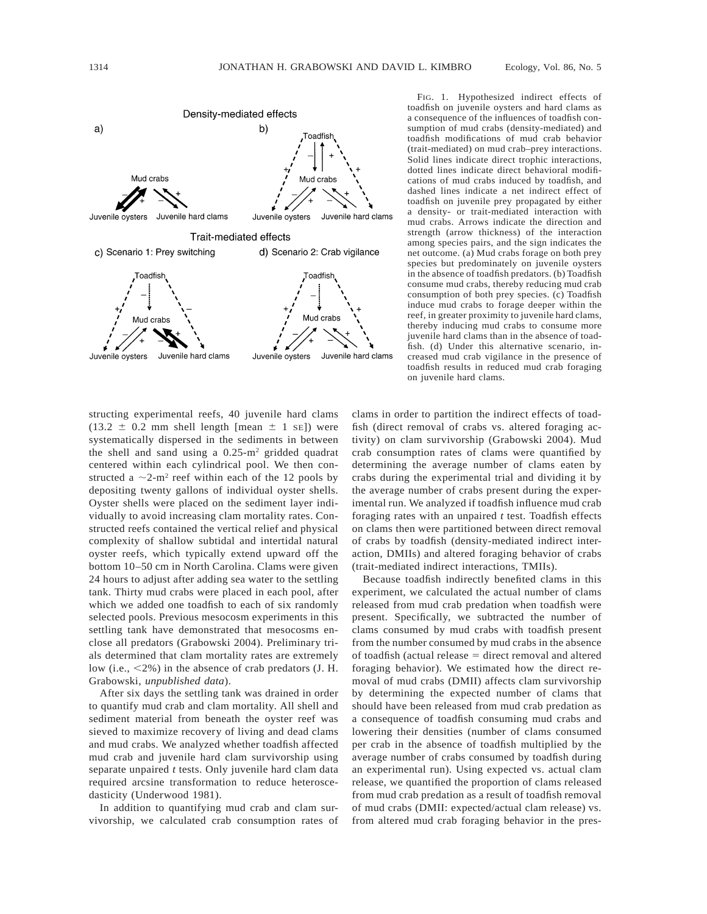

structing experimental reefs, 40 juvenile hard clams  $(13.2 \pm 0.2 \text{ mm}$  shell length [mean  $\pm$  1 se]) were systematically dispersed in the sediments in between the shell and sand using a  $0.25 \text{--} m^2$  gridded quadrat centered within each cylindrical pool. We then constructed a  $\sim$ 2-m<sup>2</sup> reef within each of the 12 pools by depositing twenty gallons of individual oyster shells. Oyster shells were placed on the sediment layer individually to avoid increasing clam mortality rates. Constructed reefs contained the vertical relief and physical complexity of shallow subtidal and intertidal natural oyster reefs, which typically extend upward off the bottom 10–50 cm in North Carolina. Clams were given 24 hours to adjust after adding sea water to the settling tank. Thirty mud crabs were placed in each pool, after which we added one toadfish to each of six randomly selected pools. Previous mesocosm experiments in this settling tank have demonstrated that mesocosms enclose all predators (Grabowski 2004). Preliminary trials determined that clam mortality rates are extremely low (i.e.,  $\langle 2\% \rangle$ ) in the absence of crab predators (J. H. Grabowski, *unpublished data*).

After six days the settling tank was drained in order to quantify mud crab and clam mortality. All shell and sediment material from beneath the oyster reef was sieved to maximize recovery of living and dead clams and mud crabs. We analyzed whether toadfish affected mud crab and juvenile hard clam survivorship using separate unpaired *t* tests. Only juvenile hard clam data required arcsine transformation to reduce heteroscedasticity (Underwood 1981).

In addition to quantifying mud crab and clam survivorship, we calculated crab consumption rates of

FIG. 1. Hypothesized indirect effects of toadfish on juvenile oysters and hard clams as a consequence of the influences of toadfish consumption of mud crabs (density-mediated) and toadfish modifications of mud crab behavior (trait-mediated) on mud crab–prey interactions. Solid lines indicate direct trophic interactions, dotted lines indicate direct behavioral modifications of mud crabs induced by toadfish, and dashed lines indicate a net indirect effect of toadfish on juvenile prey propagated by either a density- or trait-mediated interaction with mud crabs. Arrows indicate the direction and strength (arrow thickness) of the interaction among species pairs, and the sign indicates the net outcome. (a) Mud crabs forage on both prey species but predominately on juvenile oysters in the absence of toadfish predators. (b) Toadfish consume mud crabs, thereby reducing mud crab consumption of both prey species. (c) Toadfish induce mud crabs to forage deeper within the reef, in greater proximity to juvenile hard clams, thereby inducing mud crabs to consume more juvenile hard clams than in the absence of toadfish. (d) Under this alternative scenario, increased mud crab vigilance in the presence of toadfish results in reduced mud crab foraging on juvenile hard clams.

clams in order to partition the indirect effects of toadfish (direct removal of crabs vs. altered foraging activity) on clam survivorship (Grabowski 2004). Mud crab consumption rates of clams were quantified by determining the average number of clams eaten by crabs during the experimental trial and dividing it by the average number of crabs present during the experimental run. We analyzed if toadfish influence mud crab foraging rates with an unpaired *t* test. Toadfish effects on clams then were partitioned between direct removal of crabs by toadfish (density-mediated indirect interaction, DMIIs) and altered foraging behavior of crabs (trait-mediated indirect interactions, TMIIs).

Because toadfish indirectly benefited clams in this experiment, we calculated the actual number of clams released from mud crab predation when toadfish were present. Specifically, we subtracted the number of clams consumed by mud crabs with toadfish present from the number consumed by mud crabs in the absence of toadfish (actual release  $=$  direct removal and altered foraging behavior). We estimated how the direct removal of mud crabs (DMII) affects clam survivorship by determining the expected number of clams that should have been released from mud crab predation as a consequence of toadfish consuming mud crabs and lowering their densities (number of clams consumed per crab in the absence of toadfish multiplied by the average number of crabs consumed by toadfish during an experimental run). Using expected vs. actual clam release, we quantified the proportion of clams released from mud crab predation as a result of toadfish removal of mud crabs (DMII: expected/actual clam release) vs. from altered mud crab foraging behavior in the pres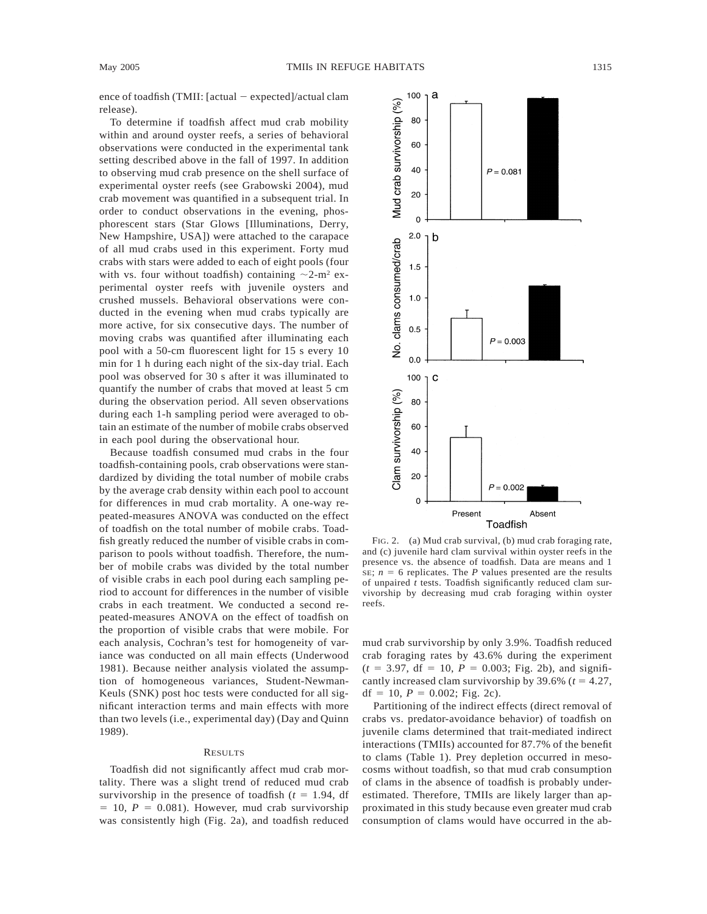ence of toadfish (TMII: [actual  $-$  expected]/actual clam release).

To determine if toadfish affect mud crab mobility within and around oyster reefs, a series of behavioral observations were conducted in the experimental tank setting described above in the fall of 1997. In addition to observing mud crab presence on the shell surface of experimental oyster reefs (see Grabowski 2004), mud crab movement was quantified in a subsequent trial. In order to conduct observations in the evening, phosphorescent stars (Star Glows [Illuminations, Derry, New Hampshire, USA]) were attached to the carapace of all mud crabs used in this experiment. Forty mud crabs with stars were added to each of eight pools (four with vs. four without toadfish) containing  $\sim 2-m^2$  experimental oyster reefs with juvenile oysters and crushed mussels. Behavioral observations were conducted in the evening when mud crabs typically are more active, for six consecutive days. The number of moving crabs was quantified after illuminating each pool with a 50-cm fluorescent light for 15 s every 10 min for 1 h during each night of the six-day trial. Each pool was observed for 30 s after it was illuminated to quantify the number of crabs that moved at least 5 cm during the observation period. All seven observations during each 1-h sampling period were averaged to obtain an estimate of the number of mobile crabs observed in each pool during the observational hour.

Because toadfish consumed mud crabs in the four toadfish-containing pools, crab observations were standardized by dividing the total number of mobile crabs by the average crab density within each pool to account for differences in mud crab mortality. A one-way repeated-measures ANOVA was conducted on the effect of toadfish on the total number of mobile crabs. Toadfish greatly reduced the number of visible crabs in comparison to pools without toadfish. Therefore, the number of mobile crabs was divided by the total number of visible crabs in each pool during each sampling period to account for differences in the number of visible crabs in each treatment. We conducted a second repeated-measures ANOVA on the effect of toadfish on the proportion of visible crabs that were mobile. For each analysis, Cochran's test for homogeneity of variance was conducted on all main effects (Underwood 1981). Because neither analysis violated the assumption of homogeneous variances, Student-Newman-Keuls (SNK) post hoc tests were conducted for all significant interaction terms and main effects with more than two levels (i.e., experimental day) (Day and Quinn 1989).

#### RESULTS

Toadfish did not significantly affect mud crab mortality. There was a slight trend of reduced mud crab survivorship in the presence of toadfish  $(t = 1.94, df)$  $= 10$ ,  $P = 0.081$ ). However, mud crab survivorship was consistently high (Fig. 2a), and toadfish reduced



FIG. 2. (a) Mud crab survival, (b) mud crab foraging rate, and (c) juvenile hard clam survival within oyster reefs in the presence vs. the absence of toadfish. Data are means and 1 SE;  $n = 6$  replicates. The *P* values presented are the results of unpaired *t* tests. Toadfish significantly reduced clam survivorship by decreasing mud crab foraging within oyster reefs.

mud crab survivorship by only 3.9%. Toadfish reduced crab foraging rates by 43.6% during the experiment  $(t = 3.97, df = 10, P = 0.003; Fig. 2b)$ , and significantly increased clam survivorship by 39.6%  $(t = 4.27,$ df = 10,  $P = 0.002$ ; Fig. 2c).

Partitioning of the indirect effects (direct removal of crabs vs. predator-avoidance behavior) of toadfish on juvenile clams determined that trait-mediated indirect interactions (TMIIs) accounted for 87.7% of the benefit to clams (Table 1). Prey depletion occurred in mesocosms without toadfish, so that mud crab consumption of clams in the absence of toadfish is probably underestimated. Therefore, TMIIs are likely larger than approximated in this study because even greater mud crab consumption of clams would have occurred in the ab-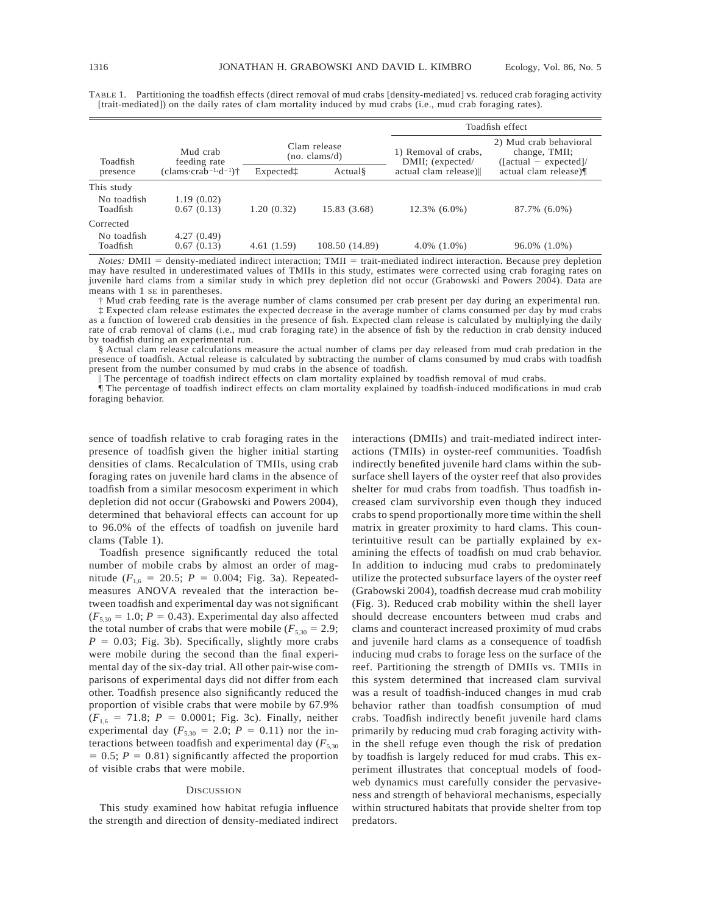|                         | Mud crab<br>feeding rate<br>$(clams\cdot crab^{-1}\cdot d^{-1})\dagger$ |                               |                | Toadfish effect                          |                                                                                        |
|-------------------------|-------------------------------------------------------------------------|-------------------------------|----------------|------------------------------------------|----------------------------------------------------------------------------------------|
| Toadfish<br>presence    |                                                                         | Clam release<br>(no. clams/d) |                | 1) Removal of crabs,<br>DMII; (expected/ | 2) Mud crab behavioral<br>change, TMII;<br>$\frac{1}{\text{actual} - \text{expected}}$ |
|                         |                                                                         | Expected <sup>†</sup>         | Actual         | actual clam release)                     | actual clam release)                                                                   |
| This study              |                                                                         |                               |                |                                          |                                                                                        |
| No toadfish             | 1.19(0.02)                                                              |                               |                |                                          |                                                                                        |
| Toadfish                | 0.67(0.13)                                                              | 1.20(0.32)                    | 15.83 (3.68)   | $12.3\%$ (6.0%)                          | 87.7% (6.0%)                                                                           |
| Corrected               |                                                                         |                               |                |                                          |                                                                                        |
| No toadfish<br>Toadfish | 4.27(0.49)<br>0.67(0.13)                                                | 4.61(1.59)                    | 108.50 (14.89) | $4.0\%$ $(1.0\%)$                        | 96.0% (1.0%)                                                                           |

TABLE 1. Partitioning the toadfish effects (direct removal of mud crabs [density-mediated] vs. reduced crab foraging activity [trait-mediated]) on the daily rates of clam mortality induced by mud crabs (i.e., mud crab foraging rates).

 $$ may have resulted in underestimated values of TMIIs in this study, estimates were corrected using crab foraging rates on juvenile hard clams from a similar study in which prey depletion did not occur (Grabowski and Powers 2004). Data are means with 1 SE in parentheses.

† Mud crab feeding rate is the average number of clams consumed per crab present per day during an experimental run. ‡ Expected clam release estimates the expected decrease in the average number of clams consumed per day by mud crabs as a function of lowered crab densities in the presence of fish. Expected clam release is calculated by multiplying the daily rate of crab removal of clams (i.e., mud crab foraging rate) in the absence of fish by the reduction in crab density induced by toadfish during an experimental run.

§ Actual clam release calculations measure the actual number of clams per day released from mud crab predation in the presence of toadfish. Actual release is calculated by subtracting the number of clams consumed by mud crabs with toadfish present from the number consumed by mud crabs in the absence of toadfish.

\ The percentage of toadfish indirect effects on clam mortality explained by toadfish removal of mud crabs.

¶ The percentage of toadfish indirect effects on clam mortality explained by toadfish-induced modifications in mud crab foraging behavior.

sence of toadfish relative to crab foraging rates in the presence of toadfish given the higher initial starting densities of clams. Recalculation of TMIIs, using crab foraging rates on juvenile hard clams in the absence of toadfish from a similar mesocosm experiment in which depletion did not occur (Grabowski and Powers 2004), determined that behavioral effects can account for up to 96.0% of the effects of toadfish on juvenile hard clams (Table 1).

Toadfish presence significantly reduced the total number of mobile crabs by almost an order of magnitude ( $F_{1,6} = 20.5$ ;  $P = 0.004$ ; Fig. 3a). Repeatedmeasures ANOVA revealed that the interaction between toadfish and experimental day was not significant  $(F_{5,30} = 1.0; P = 0.43)$ . Experimental day also affected the total number of crabs that were mobile ( $F_{5,30} = 2.9$ ;  $P = 0.03$ ; Fig. 3b). Specifically, slightly more crabs were mobile during the second than the final experimental day of the six-day trial. All other pair-wise comparisons of experimental days did not differ from each other. Toadfish presence also significantly reduced the proportion of visible crabs that were mobile by 67.9%  $(F_{1,6} = 71.8; P = 0.0001; Fig. 3c)$ . Finally, neither experimental day ( $F_{5,30} = 2.0$ ;  $P = 0.11$ ) nor the interactions between toadfish and experimental day  $(F_{5,30})$  $= 0.5; P = 0.81$ ) significantly affected the proportion of visible crabs that were mobile.

## **DISCUSSION**

This study examined how habitat refugia influence the strength and direction of density-mediated indirect interactions (DMIIs) and trait-mediated indirect interactions (TMIIs) in oyster-reef communities. Toadfish indirectly benefited juvenile hard clams within the subsurface shell layers of the oyster reef that also provides shelter for mud crabs from toadfish. Thus toadfish increased clam survivorship even though they induced crabs to spend proportionally more time within the shell matrix in greater proximity to hard clams. This counterintuitive result can be partially explained by examining the effects of toadfish on mud crab behavior. In addition to inducing mud crabs to predominately utilize the protected subsurface layers of the oyster reef (Grabowski 2004), toadfish decrease mud crab mobility (Fig. 3). Reduced crab mobility within the shell layer should decrease encounters between mud crabs and clams and counteract increased proximity of mud crabs and juvenile hard clams as a consequence of toadfish inducing mud crabs to forage less on the surface of the reef. Partitioning the strength of DMIIs vs. TMIIs in this system determined that increased clam survival was a result of toadfish-induced changes in mud crab behavior rather than toadfish consumption of mud crabs. Toadfish indirectly benefit juvenile hard clams primarily by reducing mud crab foraging activity within the shell refuge even though the risk of predation by toadfish is largely reduced for mud crabs. This experiment illustrates that conceptual models of foodweb dynamics must carefully consider the pervasiveness and strength of behavioral mechanisms, especially within structured habitats that provide shelter from top predators.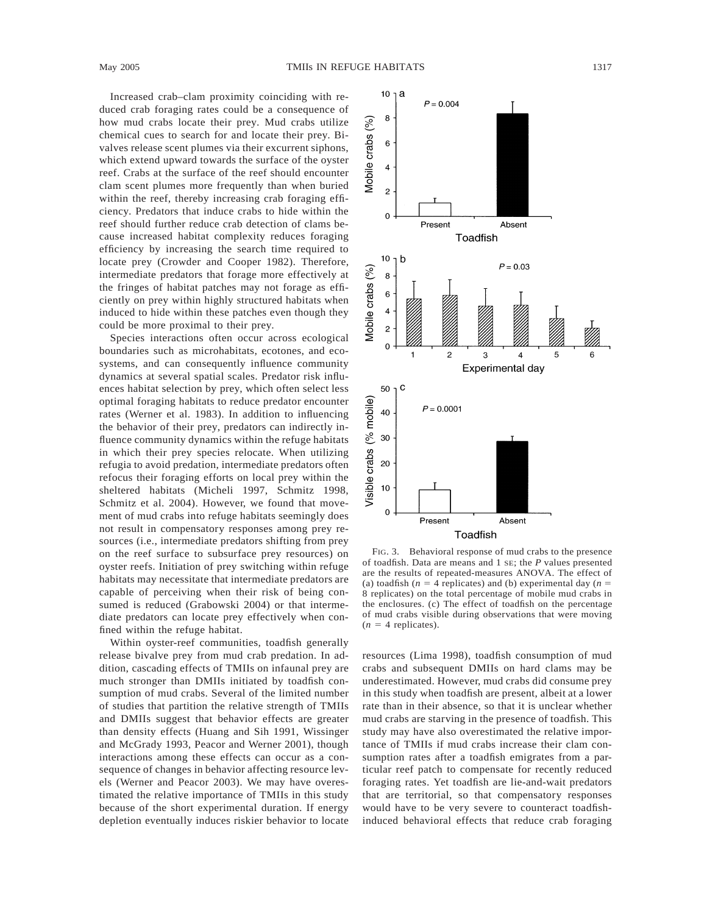Increased crab–clam proximity coinciding with reduced crab foraging rates could be a consequence of how mud crabs locate their prey. Mud crabs utilize chemical cues to search for and locate their prey. Bivalves release scent plumes via their excurrent siphons, which extend upward towards the surface of the oyster reef. Crabs at the surface of the reef should encounter clam scent plumes more frequently than when buried within the reef, thereby increasing crab foraging efficiency. Predators that induce crabs to hide within the reef should further reduce crab detection of clams because increased habitat complexity reduces foraging efficiency by increasing the search time required to locate prey (Crowder and Cooper 1982). Therefore, intermediate predators that forage more effectively at the fringes of habitat patches may not forage as efficiently on prey within highly structured habitats when induced to hide within these patches even though they could be more proximal to their prey.

Species interactions often occur across ecological boundaries such as microhabitats, ecotones, and ecosystems, and can consequently influence community dynamics at several spatial scales. Predator risk influences habitat selection by prey, which often select less optimal foraging habitats to reduce predator encounter rates (Werner et al. 1983). In addition to influencing the behavior of their prey, predators can indirectly influence community dynamics within the refuge habitats in which their prey species relocate. When utilizing refugia to avoid predation, intermediate predators often refocus their foraging efforts on local prey within the sheltered habitats (Micheli 1997, Schmitz 1998, Schmitz et al. 2004). However, we found that movement of mud crabs into refuge habitats seemingly does not result in compensatory responses among prey resources (i.e., intermediate predators shifting from prey on the reef surface to subsurface prey resources) on oyster reefs. Initiation of prey switching within refuge habitats may necessitate that intermediate predators are capable of perceiving when their risk of being consumed is reduced (Grabowski 2004) or that intermediate predators can locate prey effectively when confined within the refuge habitat.

Within oyster-reef communities, toadfish generally release bivalve prey from mud crab predation. In addition, cascading effects of TMIIs on infaunal prey are much stronger than DMIIs initiated by toadfish consumption of mud crabs. Several of the limited number of studies that partition the relative strength of TMIIs and DMIIs suggest that behavior effects are greater than density effects (Huang and Sih 1991, Wissinger and McGrady 1993, Peacor and Werner 2001), though interactions among these effects can occur as a consequence of changes in behavior affecting resource levels (Werner and Peacor 2003). We may have overestimated the relative importance of TMIIs in this study because of the short experimental duration. If energy depletion eventually induces riskier behavior to locate



FIG. 3. Behavioral response of mud crabs to the presence of toadfish. Data are means and 1 SE; the *P* values presented are the results of repeated-measures ANOVA. The effect of (a) toadfish ( $n = 4$  replicates) and (b) experimental day ( $n =$ 8 replicates) on the total percentage of mobile mud crabs in the enclosures. (c) The effect of toadfish on the percentage of mud crabs visible during observations that were moving  $(n = 4$  replicates).

resources (Lima 1998), toadfish consumption of mud crabs and subsequent DMIIs on hard clams may be underestimated. However, mud crabs did consume prey in this study when toadfish are present, albeit at a lower rate than in their absence, so that it is unclear whether mud crabs are starving in the presence of toadfish. This study may have also overestimated the relative importance of TMIIs if mud crabs increase their clam consumption rates after a toadfish emigrates from a particular reef patch to compensate for recently reduced foraging rates. Yet toadfish are lie-and-wait predators that are territorial, so that compensatory responses would have to be very severe to counteract toadfishinduced behavioral effects that reduce crab foraging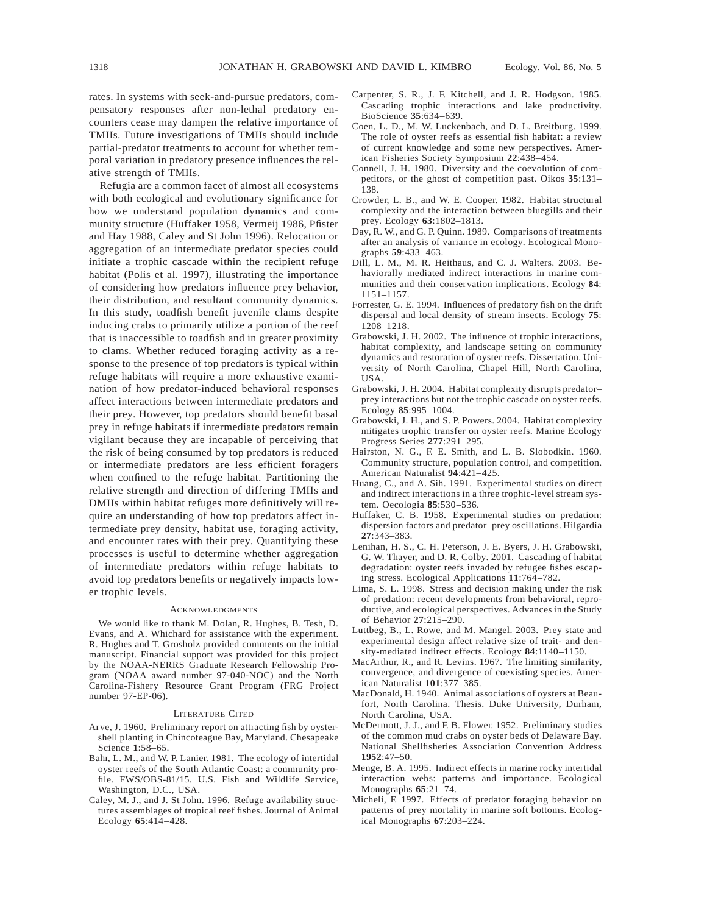rates. In systems with seek-and-pursue predators, compensatory responses after non-lethal predatory encounters cease may dampen the relative importance of TMIIs. Future investigations of TMIIs should include partial-predator treatments to account for whether temporal variation in predatory presence influences the relative strength of TMIIs.

Refugia are a common facet of almost all ecosystems with both ecological and evolutionary significance for how we understand population dynamics and community structure (Huffaker 1958, Vermeij 1986, Pfister and Hay 1988, Caley and St John 1996). Relocation or aggregation of an intermediate predator species could initiate a trophic cascade within the recipient refuge habitat (Polis et al. 1997), illustrating the importance of considering how predators influence prey behavior, their distribution, and resultant community dynamics. In this study, toadfish benefit juvenile clams despite inducing crabs to primarily utilize a portion of the reef that is inaccessible to toadfish and in greater proximity to clams. Whether reduced foraging activity as a response to the presence of top predators is typical within refuge habitats will require a more exhaustive examination of how predator-induced behavioral responses affect interactions between intermediate predators and their prey. However, top predators should benefit basal prey in refuge habitats if intermediate predators remain vigilant because they are incapable of perceiving that the risk of being consumed by top predators is reduced or intermediate predators are less efficient foragers when confined to the refuge habitat. Partitioning the relative strength and direction of differing TMIIs and DMIIs within habitat refuges more definitively will require an understanding of how top predators affect intermediate prey density, habitat use, foraging activity, and encounter rates with their prey. Quantifying these processes is useful to determine whether aggregation of intermediate predators within refuge habitats to avoid top predators benefits or negatively impacts lower trophic levels.

#### **ACKNOWLEDGMENTS**

We would like to thank M. Dolan, R. Hughes, B. Tesh, D. Evans, and A. Whichard for assistance with the experiment. R. Hughes and T. Grosholz provided comments on the initial manuscript. Financial support was provided for this project by the NOAA-NERRS Graduate Research Fellowship Program (NOAA award number 97-040-NOC) and the North Carolina-Fishery Resource Grant Program (FRG Project number 97-EP-06).

#### LITERATURE CITED

- Arve, J. 1960. Preliminary report on attracting fish by oystershell planting in Chincoteague Bay, Maryland. Chesapeake Science **1**:58–65.
- Bahr, L. M., and W. P. Lanier. 1981. The ecology of intertidal oyster reefs of the South Atlantic Coast: a community profile. FWS/OBS-81/15. U.S. Fish and Wildlife Service, Washington, D.C., USA.
- Caley, M. J., and J. St John. 1996. Refuge availability structures assemblages of tropical reef fishes. Journal of Animal Ecology **65**:414–428.
- Carpenter, S. R., J. F. Kitchell, and J. R. Hodgson. 1985. Cascading trophic interactions and lake productivity. BioScience **35**:634–639.
- Coen, L. D., M. W. Luckenbach, and D. L. Breitburg. 1999. The role of oyster reefs as essential fish habitat: a review of current knowledge and some new perspectives. American Fisheries Society Symposium **22**:438–454.
- Connell, J. H. 1980. Diversity and the coevolution of competitors, or the ghost of competition past. Oikos **35**:131– 138.
- Crowder, L. B., and W. E. Cooper. 1982. Habitat structural complexity and the interaction between bluegills and their prey. Ecology **63**:1802–1813.
- Day, R. W., and G. P. Quinn. 1989. Comparisons of treatments after an analysis of variance in ecology. Ecological Monographs **59**:433–463.
- Dill, L. M., M. R. Heithaus, and C. J. Walters. 2003. Behaviorally mediated indirect interactions in marine communities and their conservation implications. Ecology **84**: 1151–1157.
- Forrester, G. E. 1994. Influences of predatory fish on the drift dispersal and local density of stream insects. Ecology **75**: 1208–1218.
- Grabowski, J. H. 2002. The influence of trophic interactions, habitat complexity, and landscape setting on community dynamics and restoration of oyster reefs. Dissertation. University of North Carolina, Chapel Hill, North Carolina, USA.
- Grabowski, J. H. 2004. Habitat complexity disrupts predator– prey interactions but not the trophic cascade on oyster reefs. Ecology **85**:995–1004.
- Grabowski, J. H., and S. P. Powers. 2004. Habitat complexity mitigates trophic transfer on oyster reefs. Marine Ecology Progress Series **277**:291–295.
- Hairston, N. G., F. E. Smith, and L. B. Slobodkin. 1960. Community structure, population control, and competition. American Naturalist **94**:421–425.
- Huang, C., and A. Sih. 1991. Experimental studies on direct and indirect interactions in a three trophic-level stream system. Oecologia **85**:530–536.
- Huffaker, C. B. 1958. Experimental studies on predation: dispersion factors and predator–prey oscillations. Hilgardia **27**:343–383.
- Lenihan, H. S., C. H. Peterson, J. E. Byers, J. H. Grabowski, G. W. Thayer, and D. R. Colby. 2001. Cascading of habitat degradation: oyster reefs invaded by refugee fishes escaping stress. Ecological Applications **11**:764–782.
- Lima, S. L. 1998. Stress and decision making under the risk of predation: recent developments from behavioral, reproductive, and ecological perspectives. Advances in the Study of Behavior **27**:215–290.
- Luttbeg, B., L. Rowe, and M. Mangel. 2003. Prey state and experimental design affect relative size of trait- and density-mediated indirect effects. Ecology **84**:1140–1150.
- MacArthur, R., and R. Levins. 1967. The limiting similarity, convergence, and divergence of coexisting species. American Naturalist **101**:377–385.
- MacDonald, H. 1940. Animal associations of oysters at Beaufort, North Carolina. Thesis. Duke University, Durham, North Carolina, USA.
- McDermott, J. J., and F. B. Flower. 1952. Preliminary studies of the common mud crabs on oyster beds of Delaware Bay. National Shellfisheries Association Convention Address **1952**:47–50.
- Menge, B. A. 1995. Indirect effects in marine rocky intertidal interaction webs: patterns and importance. Ecological Monographs **65**:21–74.
- Micheli, F. 1997. Effects of predator foraging behavior on patterns of prey mortality in marine soft bottoms. Ecological Monographs **67**:203–224.